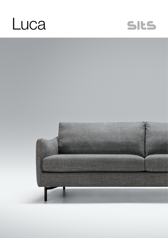



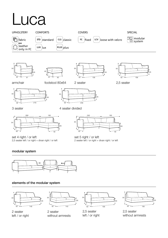# Luca











armchair





2 seater





set 4 right / or left 2,5 seater left / or right + divan right / or left





set 5 right / or left 2 seater left / or right + divan right / or left

### modular system



### elements of the modular system



2 seater left / or right



2 seater without armrests



2,5 seater left / or right



2,5 seater without armrests